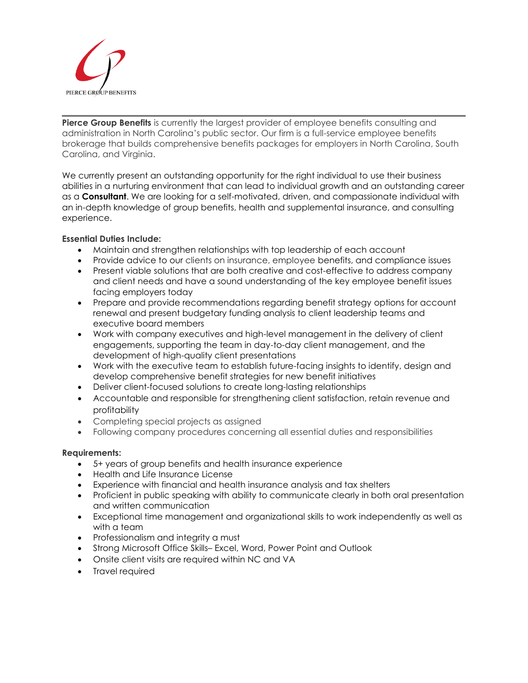

**Pierce Group Benefits** is currently the largest provider of employee benefits consulting and administration in North Carolina's public sector. Our firm is a full-service employee benefits brokerage that builds comprehensive benefits packages for employers in North Carolina, South Carolina, and Virginia.

We currently present an outstanding opportunity for the right individual to use their business abilities in a nurturing environment that can lead to individual growth and an outstanding career as a **Consultant**. We are looking for a self-motivated, driven, and compassionate individual with an in-depth knowledge of group benefits, health and supplemental insurance, and consulting experience.

## **Essential Duties Include:**

- Maintain and strengthen relationships with top leadership of each account
- Provide advice to our clients on insurance, employee benefits, and compliance issues
- Present viable solutions that are both creative and cost-effective to address company and client needs and have a sound understanding of the key employee benefit issues facing employers today
- Prepare and provide recommendations regarding benefit strategy options for account renewal and present budgetary funding analysis to client leadership teams and executive board members
- Work with company executives and high-level management in the delivery of client engagements, supporting the team in day-to-day client management, and the development of high-quality client presentations
- Work with the executive team to establish future-facing insights to identify, design and develop comprehensive benefit strategies for new benefit initiatives
- Deliver client-focused solutions to create long-lasting relationships
- Accountable and responsible for strengthening client satisfaction, retain revenue and profitability
- Completing special projects as assigned
- Following company procedures concerning all essential duties and responsibilities

## **Requirements:**

- 5+ years of group benefits and health insurance experience
- Health and Life Insurance License
- Experience with financial and health insurance analysis and tax shelters
- Proficient in public speaking with ability to communicate clearly in both oral presentation and written communication
- Exceptional time management and organizational skills to work independently as well as with a team
- Professionalism and integrity a must
- Strong Microsoft Office Skills– Excel, Word, Power Point and Outlook
- Onsite client visits are required within NC and VA
- Travel required